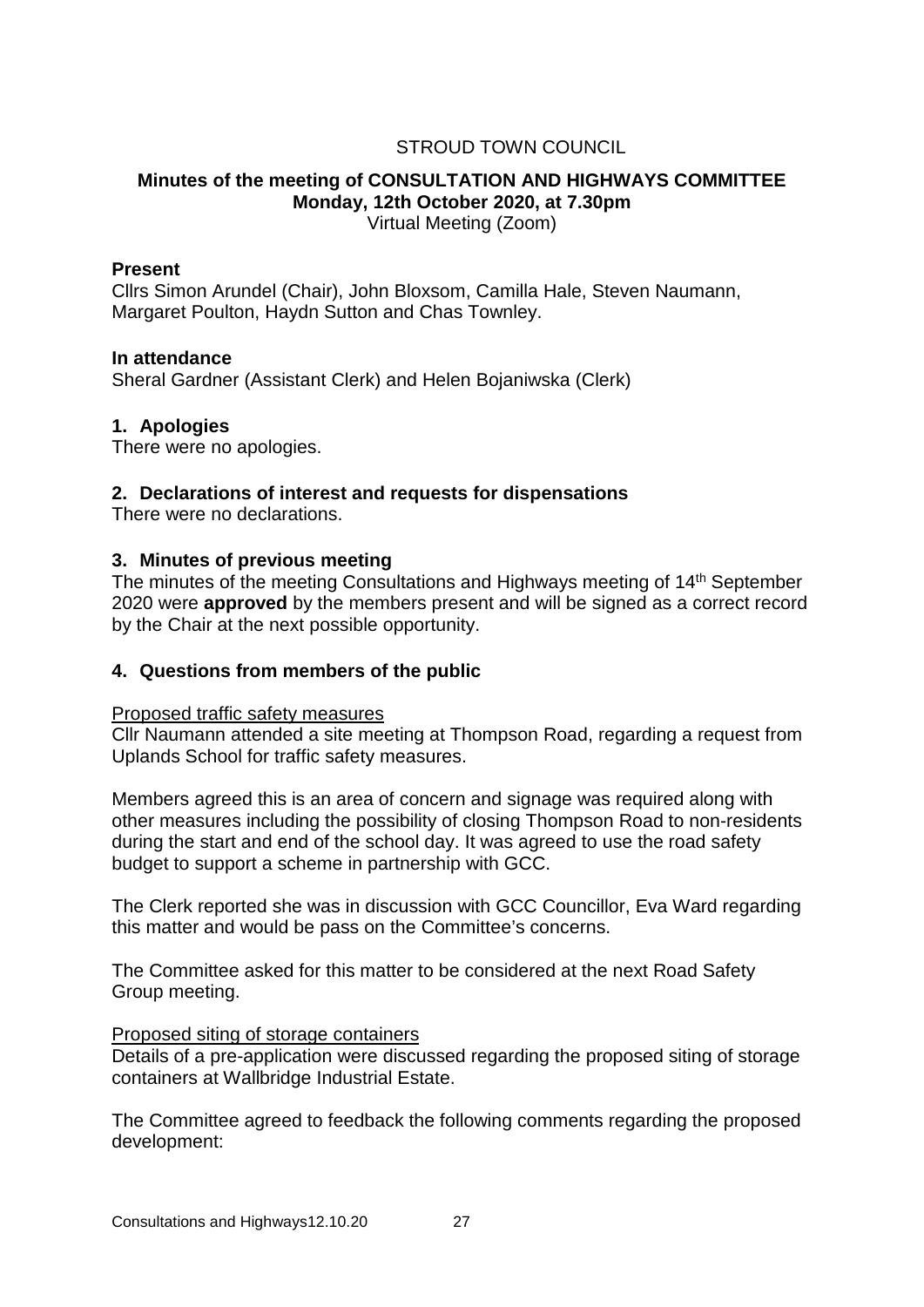## STROUD TOWN COUNCIL

# **Minutes of the meeting of CONSULTATION AND HIGHWAYS COMMITTEE Monday, 12th October 2020, at 7.30pm**

Virtual Meeting (Zoom)

### **Present**

Cllrs Simon Arundel (Chair), John Bloxsom, Camilla Hale, Steven Naumann, Margaret Poulton, Haydn Sutton and Chas Townley.

## **In attendance**

Sheral Gardner (Assistant Clerk) and Helen Bojaniwska (Clerk)

## **1. Apologies**

There were no apologies.

## **2. Declarations of interest and requests for dispensations**

There were no declarations.

#### **3. Minutes of previous meeting**

The minutes of the meeting Consultations and Highways meeting of 14<sup>th</sup> September 2020 were **approved** by the members present and will be signed as a correct record by the Chair at the next possible opportunity.

## **4. Questions from members of the public**

#### Proposed traffic safety measures

Cllr Naumann attended a site meeting at Thompson Road, regarding a request from Uplands School for traffic safety measures.

Members agreed this is an area of concern and signage was required along with other measures including the possibility of closing Thompson Road to non-residents during the start and end of the school day. It was agreed to use the road safety budget to support a scheme in partnership with GCC.

The Clerk reported she was in discussion with GCC Councillor, Eva Ward regarding this matter and would be pass on the Committee's concerns.

The Committee asked for this matter to be considered at the next Road Safety Group meeting.

#### Proposed siting of storage containers

Details of a pre-application were discussed regarding the proposed siting of storage containers at Wallbridge Industrial Estate.

The Committee agreed to feedback the following comments regarding the proposed development: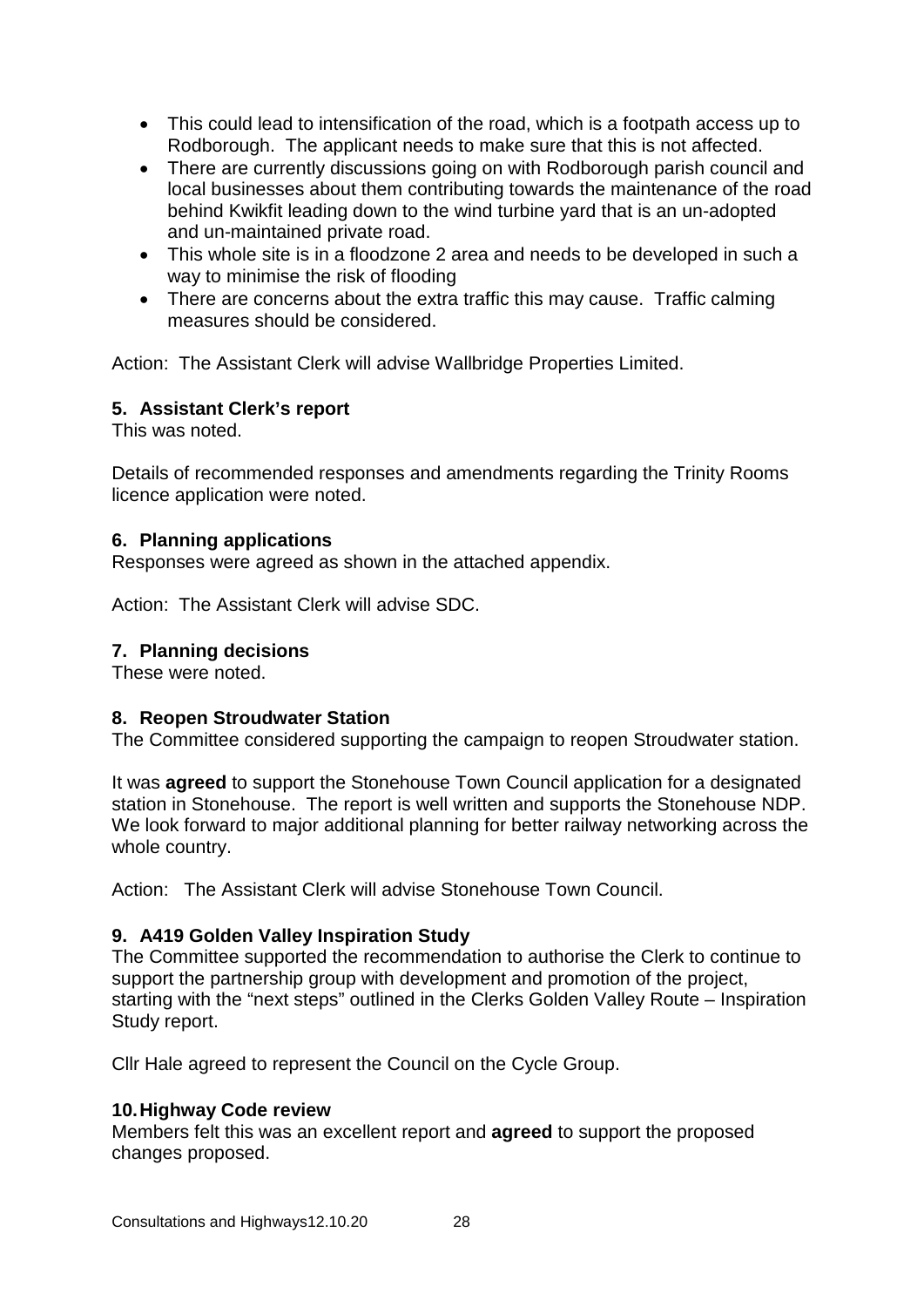- This could lead to intensification of the road, which is a footpath access up to Rodborough. The applicant needs to make sure that this is not affected.
- There are currently discussions going on with Rodborough parish council and local businesses about them contributing towards the maintenance of the road behind Kwikfit leading down to the wind turbine yard that is an un-adopted and un-maintained private road.
- This whole site is in a floodzone 2 area and needs to be developed in such a way to minimise the risk of flooding
- There are concerns about the extra traffic this may cause. Traffic calming measures should be considered.

Action: The Assistant Clerk will advise Wallbridge Properties Limited.

## **5. Assistant Clerk's report**

This was noted.

Details of recommended responses and amendments regarding the Trinity Rooms licence application were noted.

## **6. Planning applications**

Responses were agreed as shown in the attached appendix.

Action: The Assistant Clerk will advise SDC.

#### **7. Planning decisions**

These were noted.

## **8. Reopen Stroudwater Station**

The Committee considered supporting the campaign to reopen Stroudwater station.

It was **agreed** to support the Stonehouse Town Council application for a designated station in Stonehouse. The report is well written and supports the Stonehouse NDP. We look forward to major additional planning for better railway networking across the whole country.

Action: The Assistant Clerk will advise Stonehouse Town Council.

## **9. A419 Golden Valley Inspiration Study**

The Committee supported the recommendation to authorise the Clerk to continue to support the partnership group with development and promotion of the project, starting with the "next steps" outlined in the Clerks Golden Valley Route – Inspiration Study report.

Cllr Hale agreed to represent the Council on the Cycle Group.

## **10.Highway Code review**

Members felt this was an excellent report and **agreed** to support the proposed changes proposed.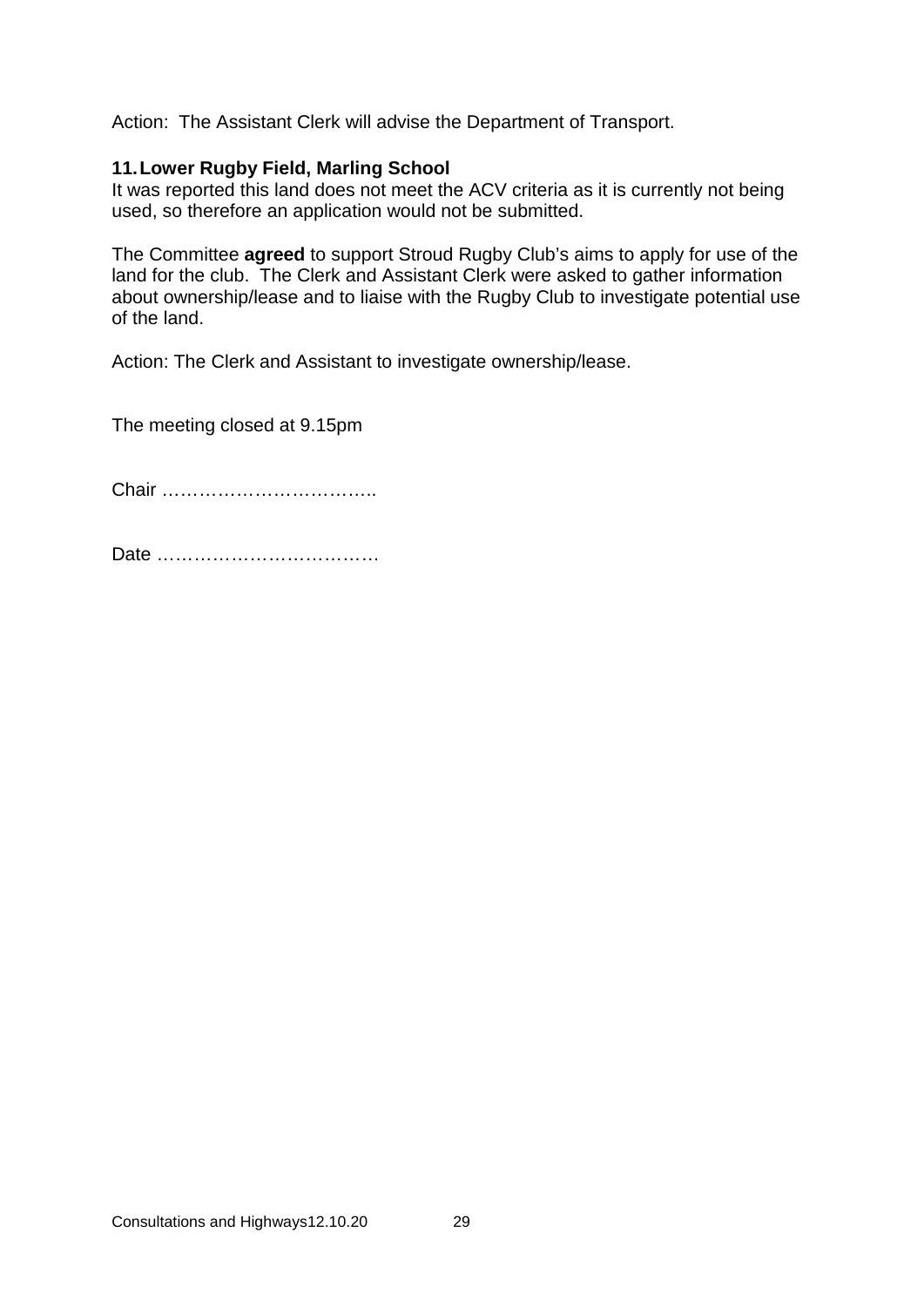Action: The Assistant Clerk will advise the Department of Transport.

## **11.Lower Rugby Field, Marling School**

It was reported this land does not meet the ACV criteria as it is currently not being used, so therefore an application would not be submitted.

The Committee **agreed** to support Stroud Rugby Club's aims to apply for use of the land for the club. The Clerk and Assistant Clerk were asked to gather information about ownership/lease and to liaise with the Rugby Club to investigate potential use of the land.

Action: The Clerk and Assistant to investigate ownership/lease.

The meeting closed at 9.15pm

Chair ……………………………..

Date ………………………………